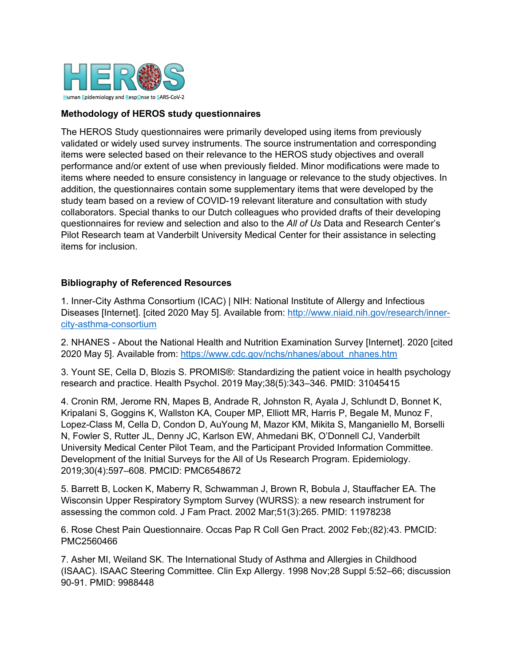

## **Methodology of HEROS study questionnaires**

The HEROS Study questionnaires were primarily developed using items from previously validated or widely used survey instruments. The source instrumentation and corresponding items were selected based on their relevance to the HEROS study objectives and overall performance and/or extent of use when previously fielded. Minor modifications were made to items where needed to ensure consistency in language or relevance to the study objectives. In addition, the questionnaires contain some supplementary items that were developed by the study team based on a review of COVID-19 relevant literature and consultation with study collaborators. Special thanks to our Dutch colleagues who provided drafts of their developing questionnaires for review and selection and also to the *All of Us* Data and Research Center's Pilot Research team at Vanderbilt University Medical Center for their assistance in selecting items for inclusion.

## **Bibliography of Referenced Resources**

1. Inner-City Asthma Consortium (ICAC) | NIH: National Institute of Allergy and Infectious Diseases [Internet]. [cited 2020 May 5]. Available from: http://www.niaid.nih.gov/research/innercity-asthma-consortium

2. NHANES - About the National Health and Nutrition Examination Survey [Internet]. 2020 [cited 2020 May 5]. Available from: https://www.cdc.gov/nchs/nhanes/about\_nhanes.htm

3. Yount SE, Cella D, Blozis S. PROMIS®: Standardizing the patient voice in health psychology research and practice. Health Psychol. 2019 May;38(5):343–346. PMID: 31045415

4. Cronin RM, Jerome RN, Mapes B, Andrade R, Johnston R, Ayala J, Schlundt D, Bonnet K, Kripalani S, Goggins K, Wallston KA, Couper MP, Elliott MR, Harris P, Begale M, Munoz F, Lopez-Class M, Cella D, Condon D, AuYoung M, Mazor KM, Mikita S, Manganiello M, Borselli N, Fowler S, Rutter JL, Denny JC, Karlson EW, Ahmedani BK, O'Donnell CJ, Vanderbilt University Medical Center Pilot Team, and the Participant Provided Information Committee. Development of the Initial Surveys for the All of Us Research Program. Epidemiology. 2019;30(4):597–608. PMCID: PMC6548672

5. Barrett B, Locken K, Maberry R, Schwamman J, Brown R, Bobula J, Stauffacher EA. The Wisconsin Upper Respiratory Symptom Survey (WURSS): a new research instrument for assessing the common cold. J Fam Pract. 2002 Mar;51(3):265. PMID: 11978238

6. Rose Chest Pain Questionnaire. Occas Pap R Coll Gen Pract. 2002 Feb;(82):43. PMCID: PMC2560466

7. Asher MI, Weiland SK. The International Study of Asthma and Allergies in Childhood (ISAAC). ISAAC Steering Committee. Clin Exp Allergy. 1998 Nov;28 Suppl 5:52–66; discussion 90-91. PMID: 9988448